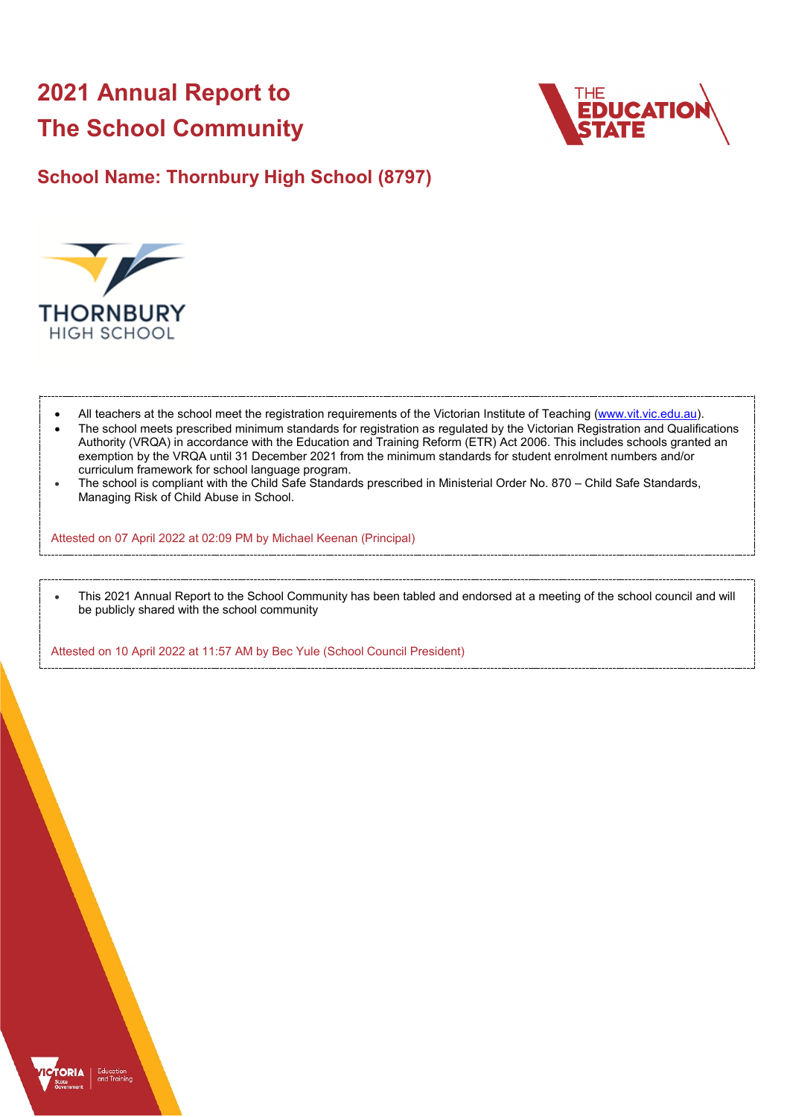# **2021 Annual Report to The School Community**



# **School Name: Thornbury High School (8797)**



- All teachers at the school meet the registration requirements of the Victorian Institute of Teaching [\(www.vit.vic.edu.au\)](https://www.vit.vic.edu.au/).
- The school meets prescribed minimum standards for registration as regulated by the Victorian Registration and Qualifications Authority (VRQA) in accordance with the Education and Training Reform (ETR) Act 2006. This includes schools granted an exemption by the VRQA until 31 December 2021 from the minimum standards for student enrolment numbers and/or curriculum framework for school language program.
- The school is compliant with the Child Safe Standards prescribed in Ministerial Order No. 870 Child Safe Standards, Managing Risk of Child Abuse in School.

Attested on 07 April 2022 at 02:09 PM by Michael Keenan (Principal)

• This 2021 Annual Report to the School Community has been tabled and endorsed at a meeting of the school council and will be publicly shared with the school community

Attested on 10 April 2022 at 11:57 AM by Bec Yule (School Council President)

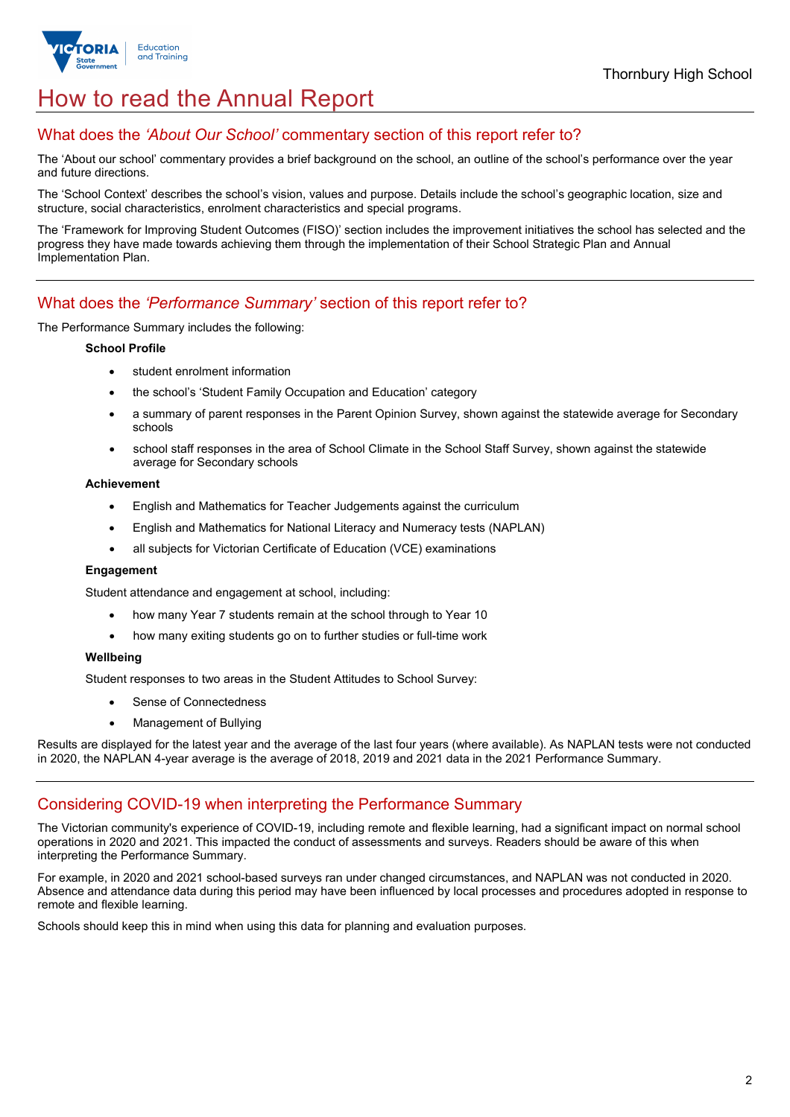

# How to read the Annual Report

## What does the *'About Our School'* commentary section of this report refer to?

The 'About our school' commentary provides a brief background on the school, an outline of the school's performance over the year and future directions.

The 'School Context' describes the school's vision, values and purpose. Details include the school's geographic location, size and structure, social characteristics, enrolment characteristics and special programs.

The 'Framework for Improving Student Outcomes (FISO)' section includes the improvement initiatives the school has selected and the progress they have made towards achieving them through the implementation of their School Strategic Plan and Annual Implementation Plan.

## What does the *'Performance Summary'* section of this report refer to?

The Performance Summary includes the following:

#### **School Profile**

- student enrolment information
- the school's 'Student Family Occupation and Education' category
- a summary of parent responses in the Parent Opinion Survey, shown against the statewide average for Secondary schools
- school staff responses in the area of School Climate in the School Staff Survey, shown against the statewide average for Secondary schools

#### **Achievement**

- English and Mathematics for Teacher Judgements against the curriculum
- English and Mathematics for National Literacy and Numeracy tests (NAPLAN)
- all subjects for Victorian Certificate of Education (VCE) examinations

#### **Engagement**

Student attendance and engagement at school, including:

- how many Year 7 students remain at the school through to Year 10
- how many exiting students go on to further studies or full-time work

#### **Wellbeing**

Student responses to two areas in the Student Attitudes to School Survey:

- Sense of Connectedness
- Management of Bullying

Results are displayed for the latest year and the average of the last four years (where available). As NAPLAN tests were not conducted in 2020, the NAPLAN 4-year average is the average of 2018, 2019 and 2021 data in the 2021 Performance Summary.

## Considering COVID-19 when interpreting the Performance Summary

The Victorian community's experience of COVID-19, including remote and flexible learning, had a significant impact on normal school operations in 2020 and 2021. This impacted the conduct of assessments and surveys. Readers should be aware of this when interpreting the Performance Summary.

For example, in 2020 and 2021 school-based surveys ran under changed circumstances, and NAPLAN was not conducted in 2020. Absence and attendance data during this period may have been influenced by local processes and procedures adopted in response to remote and flexible learning.

Schools should keep this in mind when using this data for planning and evaluation purposes.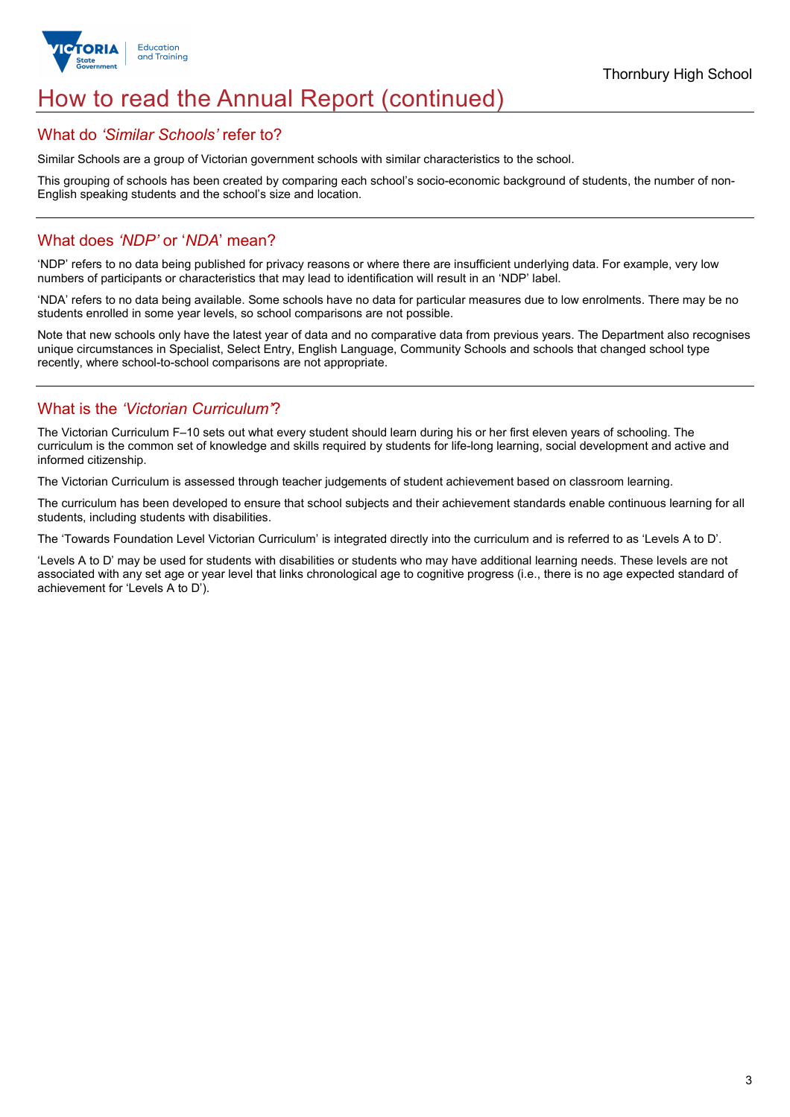

# How to read the Annual Report (continued)

### What do *'Similar Schools'* refer to?

Similar Schools are a group of Victorian government schools with similar characteristics to the school.

This grouping of schools has been created by comparing each school's socio-economic background of students, the number of non-English speaking students and the school's size and location.

## What does *'NDP'* or '*NDA*' mean?

'NDP' refers to no data being published for privacy reasons or where there are insufficient underlying data. For example, very low numbers of participants or characteristics that may lead to identification will result in an 'NDP' label.

'NDA' refers to no data being available. Some schools have no data for particular measures due to low enrolments. There may be no students enrolled in some year levels, so school comparisons are not possible.

Note that new schools only have the latest year of data and no comparative data from previous years. The Department also recognises unique circumstances in Specialist, Select Entry, English Language, Community Schools and schools that changed school type recently, where school-to-school comparisons are not appropriate.

## What is the *'Victorian Curriculum'*?

The Victorian Curriculum F–10 sets out what every student should learn during his or her first eleven years of schooling. The curriculum is the common set of knowledge and skills required by students for life-long learning, social development and active and informed citizenship.

The Victorian Curriculum is assessed through teacher judgements of student achievement based on classroom learning.

The curriculum has been developed to ensure that school subjects and their achievement standards enable continuous learning for all students, including students with disabilities.

The 'Towards Foundation Level Victorian Curriculum' is integrated directly into the curriculum and is referred to as 'Levels A to D'.

'Levels A to D' may be used for students with disabilities or students who may have additional learning needs. These levels are not associated with any set age or year level that links chronological age to cognitive progress (i.e., there is no age expected standard of achievement for 'Levels A to D').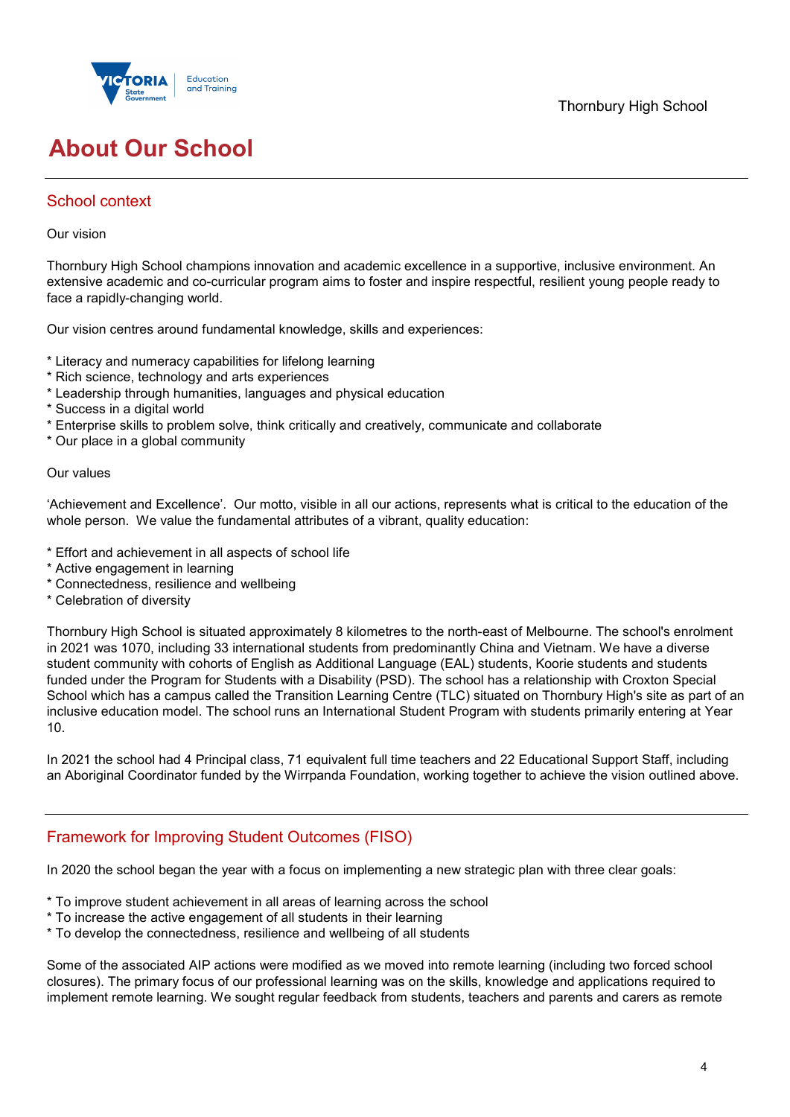

# **About Our School**

## School context

### Our vision

Thornbury High School champions innovation and academic excellence in a supportive, inclusive environment. An extensive academic and co-curricular program aims to foster and inspire respectful, resilient young people ready to face a rapidly-changing world.

Our vision centres around fundamental knowledge, skills and experiences:

- \* Literacy and numeracy capabilities for lifelong learning
- \* Rich science, technology and arts experiences
- \* Leadership through humanities, languages and physical education
- \* Success in a digital world
- \* Enterprise skills to problem solve, think critically and creatively, communicate and collaborate
- \* Our place in a global community

#### Our values

'Achievement and Excellence'. Our motto, visible in all our actions, represents what is critical to the education of the whole person. We value the fundamental attributes of a vibrant, quality education:

- \* Effort and achievement in all aspects of school life
- \* Active engagement in learning
- \* Connectedness, resilience and wellbeing
- \* Celebration of diversity

Thornbury High School is situated approximately 8 kilometres to the north-east of Melbourne. The school's enrolment in 2021 was 1070, including 33 international students from predominantly China and Vietnam. We have a diverse student community with cohorts of English as Additional Language (EAL) students, Koorie students and students funded under the Program for Students with a Disability (PSD). The school has a relationship with Croxton Special School which has a campus called the Transition Learning Centre (TLC) situated on Thornbury High's site as part of an inclusive education model. The school runs an International Student Program with students primarily entering at Year 10.

In 2021 the school had 4 Principal class, 71 equivalent full time teachers and 22 Educational Support Staff, including an Aboriginal Coordinator funded by the Wirrpanda Foundation, working together to achieve the vision outlined above.

## Framework for Improving Student Outcomes (FISO)

In 2020 the school began the year with a focus on implementing a new strategic plan with three clear goals:

- \* To improve student achievement in all areas of learning across the school
- \* To increase the active engagement of all students in their learning
- \* To develop the connectedness, resilience and wellbeing of all students

Some of the associated AIP actions were modified as we moved into remote learning (including two forced school closures). The primary focus of our professional learning was on the skills, knowledge and applications required to implement remote learning. We sought regular feedback from students, teachers and parents and carers as remote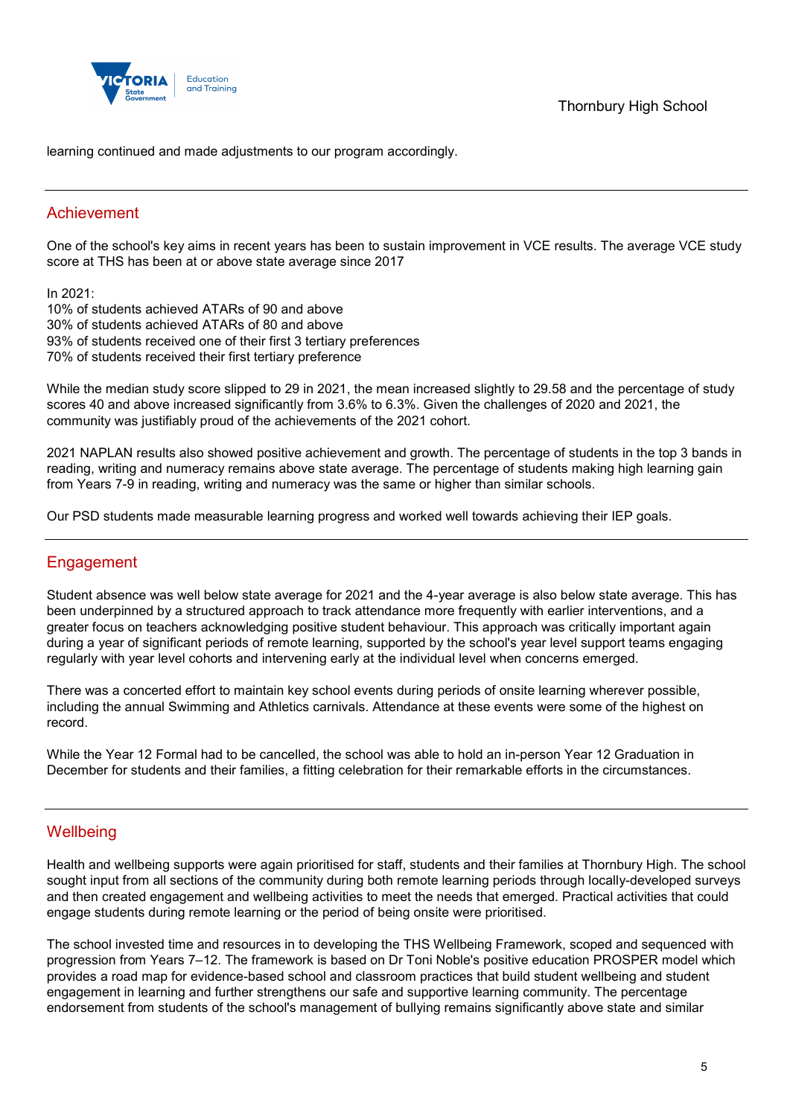

learning continued and made adjustments to our program accordingly.

## Achievement

One of the school's key aims in recent years has been to sustain improvement in VCE results. The average VCE study score at THS has been at or above state average since 2017

In 2021:

10% of students achieved ATARs of 90 and above 30% of students achieved ATARs of 80 and above 93% of students received one of their first 3 tertiary preferences 70% of students received their first tertiary preference

While the median study score slipped to 29 in 2021, the mean increased slightly to 29.58 and the percentage of study scores 40 and above increased significantly from 3.6% to 6.3%. Given the challenges of 2020 and 2021, the community was justifiably proud of the achievements of the 2021 cohort.

2021 NAPLAN results also showed positive achievement and growth. The percentage of students in the top 3 bands in reading, writing and numeracy remains above state average. The percentage of students making high learning gain from Years 7-9 in reading, writing and numeracy was the same or higher than similar schools.

Our PSD students made measurable learning progress and worked well towards achieving their IEP goals.

## Engagement

Student absence was well below state average for 2021 and the 4-year average is also below state average. This has been underpinned by a structured approach to track attendance more frequently with earlier interventions, and a greater focus on teachers acknowledging positive student behaviour. This approach was critically important again during a year of significant periods of remote learning, supported by the school's year level support teams engaging regularly with year level cohorts and intervening early at the individual level when concerns emerged.

There was a concerted effort to maintain key school events during periods of onsite learning wherever possible, including the annual Swimming and Athletics carnivals. Attendance at these events were some of the highest on record.

While the Year 12 Formal had to be cancelled, the school was able to hold an in-person Year 12 Graduation in December for students and their families, a fitting celebration for their remarkable efforts in the circumstances.

## **Wellbeing**

Health and wellbeing supports were again prioritised for staff, students and their families at Thornbury High. The school sought input from all sections of the community during both remote learning periods through locally-developed surveys and then created engagement and wellbeing activities to meet the needs that emerged. Practical activities that could engage students during remote learning or the period of being onsite were prioritised.

The school invested time and resources in to developing the THS Wellbeing Framework, scoped and sequenced with progression from Years 7–12. The framework is based on Dr Toni Noble's positive education PROSPER model which provides a road map for evidence-based school and classroom practices that build student wellbeing and student engagement in learning and further strengthens our safe and supportive learning community. The percentage endorsement from students of the school's management of bullying remains significantly above state and similar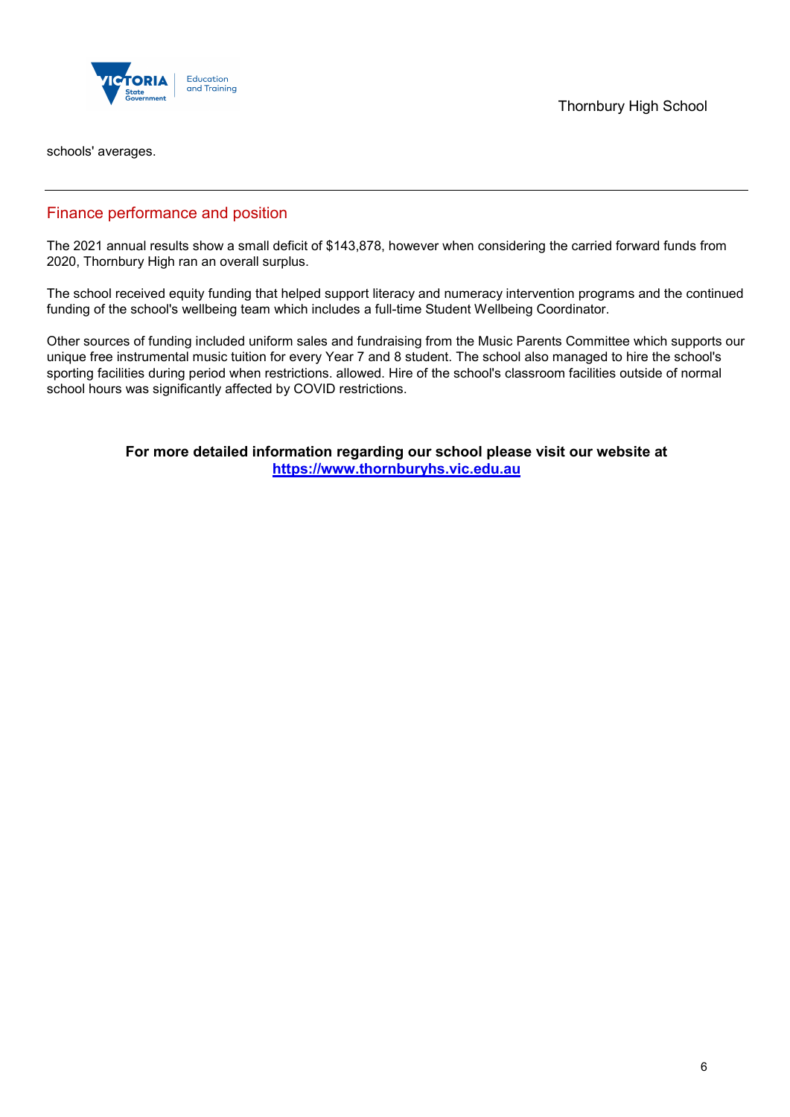

Thornbury High School

schools' averages.

## Finance performance and position

The 2021 annual results show a small deficit of \$143,878, however when considering the carried forward funds from 2020, Thornbury High ran an overall surplus.

The school received equity funding that helped support literacy and numeracy intervention programs and the continued funding of the school's wellbeing team which includes a full-time Student Wellbeing Coordinator.

Other sources of funding included uniform sales and fundraising from the Music Parents Committee which supports our unique free instrumental music tuition for every Year 7 and 8 student. The school also managed to hire the school's sporting facilities during period when restrictions. allowed. Hire of the school's classroom facilities outside of normal school hours was significantly affected by COVID restrictions.

> **For more detailed information regarding our school please visit our website at [https://www.thornburyhs.vic.edu.au](https://www.thornburyhs.vic.edu.au/)**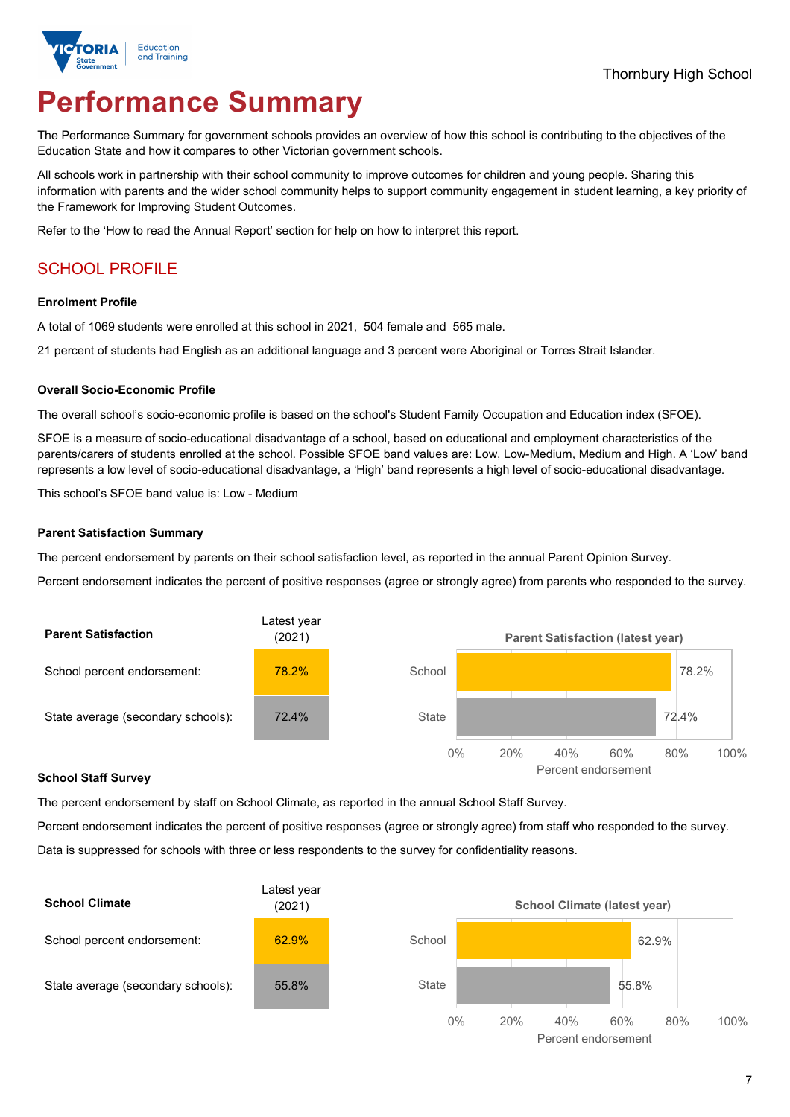

# **Performance Summary**

The Performance Summary for government schools provides an overview of how this school is contributing to the objectives of the Education State and how it compares to other Victorian government schools.

All schools work in partnership with their school community to improve outcomes for children and young people. Sharing this information with parents and the wider school community helps to support community engagement in student learning, a key priority of the Framework for Improving Student Outcomes.

Refer to the 'How to read the Annual Report' section for help on how to interpret this report.

# SCHOOL PROFILE

#### **Enrolment Profile**

A total of 1069 students were enrolled at this school in 2021, 504 female and 565 male.

21 percent of students had English as an additional language and 3 percent were Aboriginal or Torres Strait Islander.

#### **Overall Socio-Economic Profile**

The overall school's socio-economic profile is based on the school's Student Family Occupation and Education index (SFOE).

SFOE is a measure of socio-educational disadvantage of a school, based on educational and employment characteristics of the parents/carers of students enrolled at the school. Possible SFOE band values are: Low, Low-Medium, Medium and High. A 'Low' band represents a low level of socio-educational disadvantage, a 'High' band represents a high level of socio-educational disadvantage.

This school's SFOE band value is: Low - Medium

#### **Parent Satisfaction Summary**

The percent endorsement by parents on their school satisfaction level, as reported in the annual Parent Opinion Survey.

Percent endorsement indicates the percent of positive responses (agree or strongly agree) from parents who responded to the survey.



#### **School Staff Survey**

The percent endorsement by staff on School Climate, as reported in the annual School Staff Survey.

Percent endorsement indicates the percent of positive responses (agree or strongly agree) from staff who responded to the survey. Data is suppressed for schools with three or less respondents to the survey for confidentiality reasons.

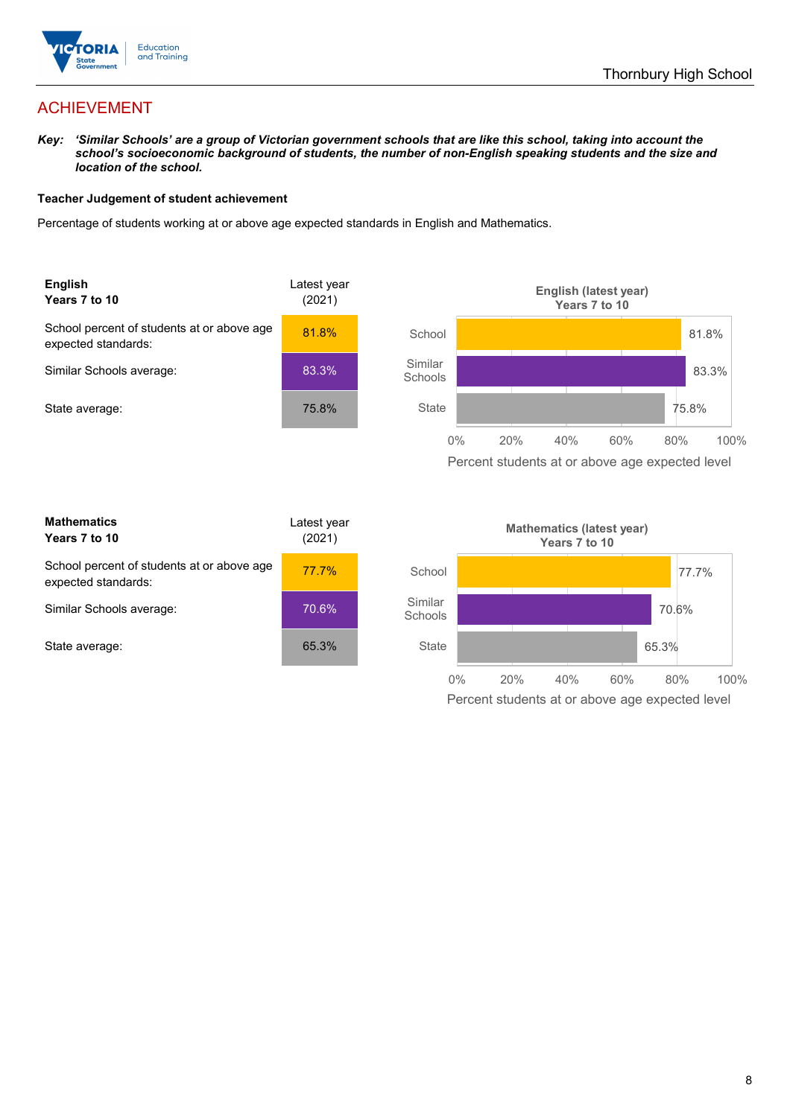

## ACHIEVEMENT

*Key: 'Similar Schools' are a group of Victorian government schools that are like this school, taking into account the school's socioeconomic background of students, the number of non-English speaking students and the size and location of the school.*

#### **Teacher Judgement of student achievement**

Percentage of students working at or above age expected standards in English and Mathematics.



| <b>Mathematics</b><br>Years 7 to 10                               | Latest year<br>(2021) |  |
|-------------------------------------------------------------------|-----------------------|--|
| School percent of students at or above age<br>expected standards: | 77.7%                 |  |
| Similar Schools average:                                          | 70.6%                 |  |
| State average:                                                    | 65.3%                 |  |

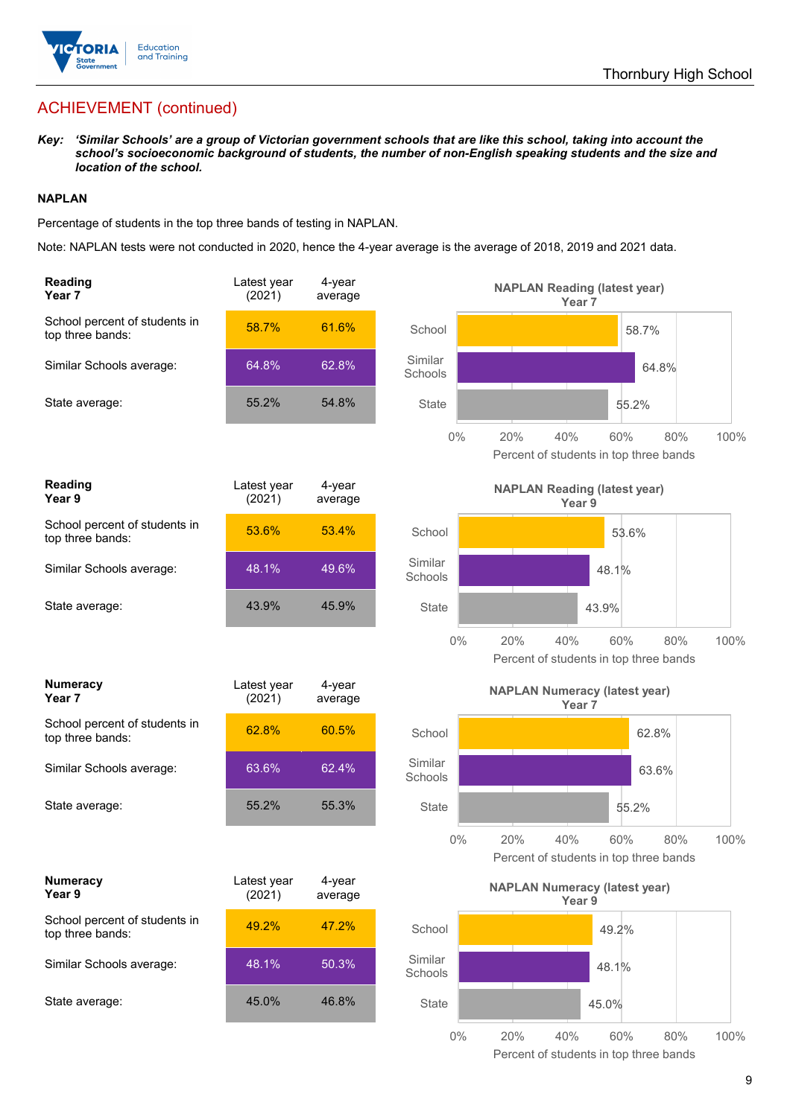

# ACHIEVEMENT (continued)

*Key: 'Similar Schools' are a group of Victorian government schools that are like this school, taking into account the school's socioeconomic background of students, the number of non-English speaking students and the size and location of the school.*

#### **NAPLAN**

Percentage of students in the top three bands of testing in NAPLAN.

Note: NAPLAN tests were not conducted in 2020, hence the 4-year average is the average of 2018, 2019 and 2021 data.

| Reading<br>Year <sub>7</sub>                      | Latest year<br>(2021) | 4-year<br>average |                    | <b>NAPLAN Reading (latest year)</b><br>Year <sub>7</sub> |                                                      |      |
|---------------------------------------------------|-----------------------|-------------------|--------------------|----------------------------------------------------------|------------------------------------------------------|------|
| School percent of students in<br>top three bands: | 58.7%                 | 61.6%             | School             |                                                          | 58.7%                                                |      |
| Similar Schools average:                          | 64.8%                 | 62.8%             | Similar<br>Schools |                                                          | 64.8%                                                |      |
| State average:                                    | 55.2%                 | 54.8%             | <b>State</b>       |                                                          | 55.2%                                                |      |
|                                                   |                       |                   | $0\%$              | 20%<br>40%                                               | 60%<br>80%<br>Percent of students in top three bands | 100% |
| Reading<br>Year 9                                 | Latest year<br>(2021) | 4-year<br>average |                    | <b>NAPLAN Reading (latest year)</b><br>Year 9            |                                                      |      |
| School percent of students in<br>top three bands: | 53.6%                 | 53.4%             | School             |                                                          | 53.6%                                                |      |
| Similar Schools average:                          | 48.1%                 | 49.6%             | Similar<br>Schools |                                                          | 48.1%                                                |      |
| State average:                                    | 43.9%                 | 45.9%             | <b>State</b>       |                                                          | 43.9%                                                |      |
|                                                   |                       |                   | $0\%$              | 20%<br>40%                                               | 60%<br>80%<br>Percent of students in top three bands | 100% |
| <b>Numeracy</b><br>Year <sub>7</sub>              | Latest year<br>(2021) | 4-year<br>average |                    | <b>NAPLAN Numeracy (latest year)</b><br>Year 7           |                                                      |      |
| School percent of students in<br>top three bands: | 62.8%                 | 60.5%             | School             |                                                          | 62.8%                                                |      |
| Similar Schools average:                          | 63.6%                 | 62.4%             | Similar<br>Schools |                                                          | 63.6%                                                |      |
| State average:                                    | 55.2%                 | 55.3%             | <b>State</b>       |                                                          | 55.2%                                                |      |
|                                                   |                       |                   | $0\%$              | 40%<br>20%                                               | 60%<br>80%<br>Percent of students in top three bands | 100% |
| <b>Numeracy</b><br>Year 9                         | Latest year<br>(2021) | 4-year<br>average |                    | <b>NAPLAN Numeracy (latest year)</b><br>Year 9           |                                                      |      |
| School percent of students in<br>top three bands: | 49.2%                 | 47.2%             | School             |                                                          | 49.2%                                                |      |
| Similar Schools average:                          | 48.1%                 | 50.3%             | Similar<br>Schools |                                                          | 48.1%                                                |      |
| State average:                                    | 45.0%                 | 46.8%             | <b>State</b>       |                                                          | 45.0%                                                |      |
|                                                   |                       |                   | $0\%$              | 20%<br>40%                                               | 80%<br>60%                                           | 100% |

Percent of students in top three bands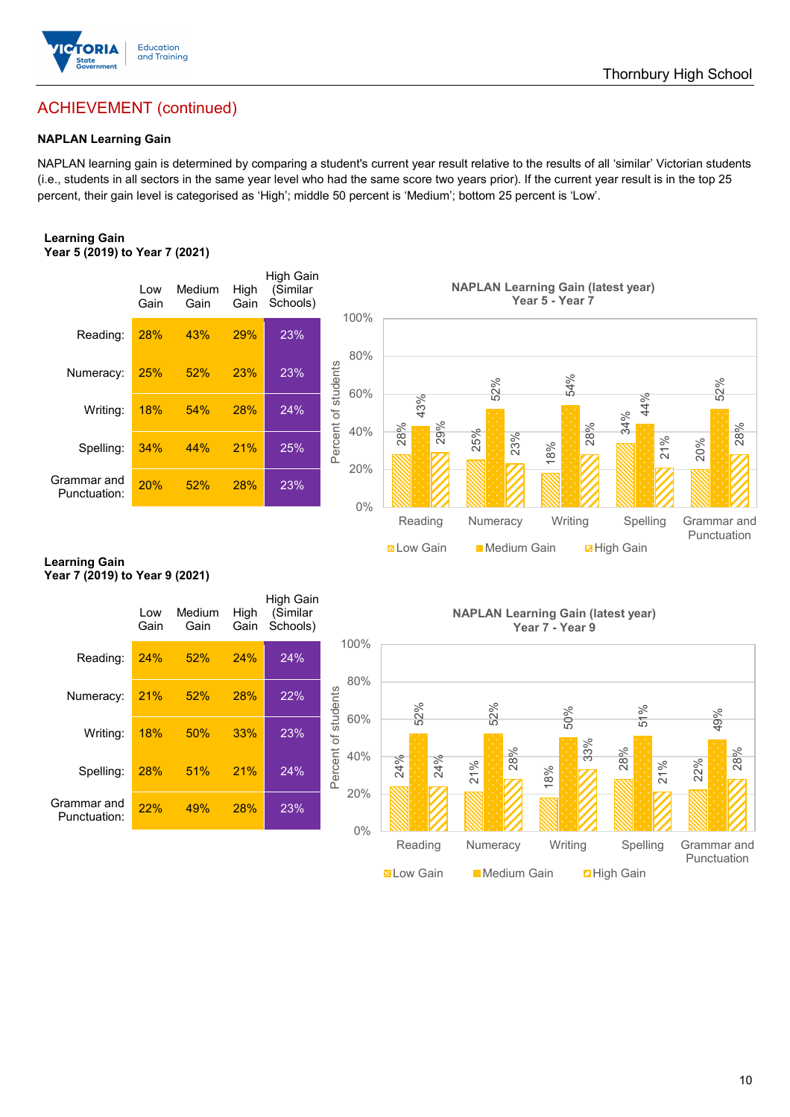

## ACHIEVEMENT (continued)

### **NAPLAN Learning Gain**

NAPLAN learning gain is determined by comparing a student's current year result relative to the results of all 'similar' Victorian students (i.e., students in all sectors in the same year level who had the same score two years prior). If the current year result is in the top 25 percent, their gain level is categorised as 'High'; middle 50 percent is 'Medium'; bottom 25 percent is 'Low'.

#### **Learning Gain Year 5 (2019) to Year 7 (2021)**



#### **Learning Gain Year 7 (2019) to Year 9 (2021)**

| Spelling:                      | 34%         | 44%            | 21%          | 25%                               | Percent o<br>40%<br>20%    | ↴<br>29%<br>28%   | 25%<br>23%                                | 28%<br>18%      | 34%<br>↘<br>21%    | 28%<br>20%                 |
|--------------------------------|-------------|----------------|--------------|-----------------------------------|----------------------------|-------------------|-------------------------------------------|-----------------|--------------------|----------------------------|
| Grammar and<br>Punctuation:    | 20%         | 52%            | 28%          | 23%                               | $0\%$                      |                   |                                           |                 |                    |                            |
|                                |             |                |              |                                   |                            | Reading           | Numeracy                                  | Writing         | Spelling           | Grammar and<br>Punctuation |
| Learning Gain                  |             |                |              |                                   |                            | <b>N</b> Low Gain | Medium Gain                               |                 | <b>Z</b> High Gain |                            |
| Year 7 (2019) to Year 9 (2021) |             |                |              |                                   |                            |                   |                                           |                 |                    |                            |
|                                | Low<br>Gain | Medium<br>Gain | High<br>Gain | High Gain<br>(Similar<br>Schools) |                            |                   | <b>NAPLAN Learning Gain (latest year)</b> | Year 7 - Year 9 |                    |                            |
| Reading:                       | 24%         | 52%            | 24%          | 24%                               | 100%<br>80%                |                   |                                           |                 |                    |                            |
| Numeracy:                      | 21%         | 52%            | 28%          | 22%                               | 60%                        | 52%               | 52%                                       | 50%             | 51%                | 49%                        |
| Writing:                       | 18%         | 50%            | 33%          | 23%                               | Percent of students<br>40% |                   | 28%                                       | 33%             | 28%                | 28%                        |
| Spelling:                      | 28%         | 51%            | 21%          | 24%                               | 20%                        | 24%<br>24%        | 21%                                       | 18%             | 21%                | 22%                        |
| Grammar and<br>Punctuation:    | 22%         | 49%            | 28%          | 23%                               | $0\%$                      |                   |                                           |                 |                    |                            |
|                                |             |                |              |                                   |                            | Reading           | Numeracy                                  | Writing         | Spelling           | Grammar and<br>Punctuation |
|                                |             |                |              |                                   |                            | <b>N</b> Low Gain | <b>Medium Gain</b>                        |                 | <b>2High Gain</b>  |                            |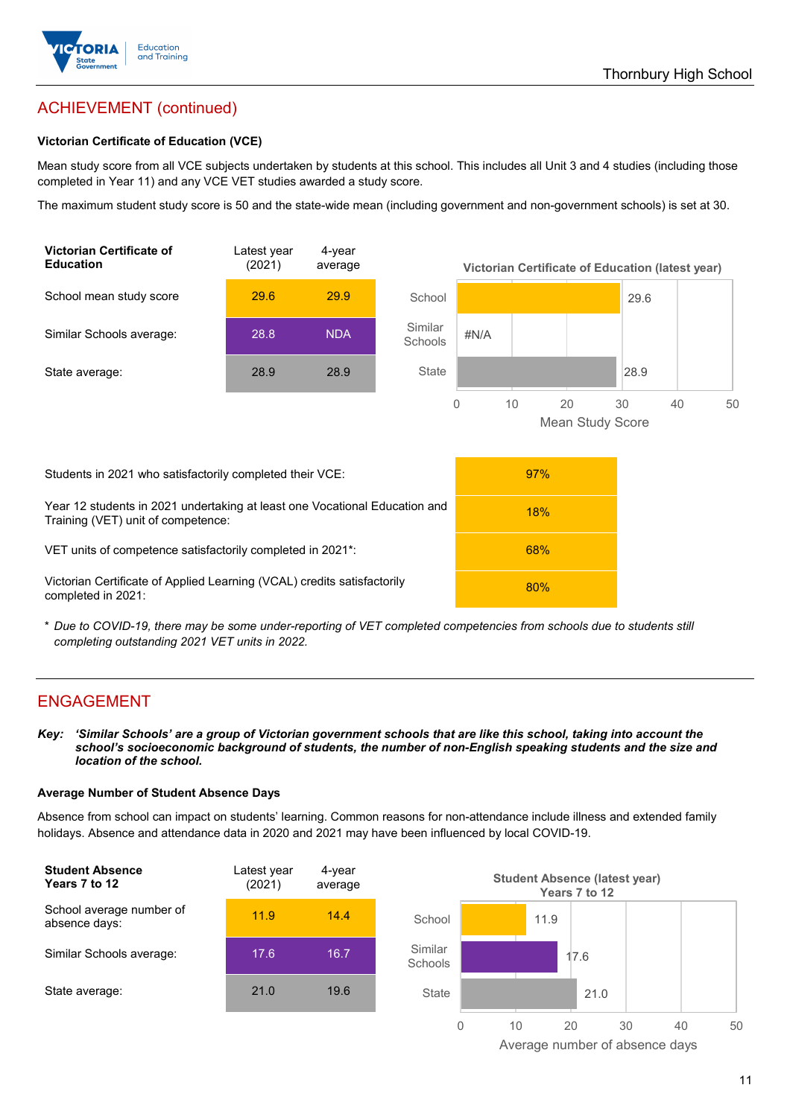

# ACHIEVEMENT (continued)

#### **Victorian Certificate of Education (VCE)**

Mean study score from all VCE subjects undertaken by students at this school. This includes all Unit 3 and 4 studies (including those completed in Year 11) and any VCE VET studies awarded a study score.

The maximum student study score is 50 and the state-wide mean (including government and non-government schools) is set at 30.



\* *Due to COVID-19, there may be some under-reporting of VET completed competencies from schools due to students still completing outstanding 2021 VET units in 2022.*

## ENGAGEMENT

*Key: 'Similar Schools' are a group of Victorian government schools that are like this school, taking into account the school's socioeconomic background of students, the number of non-English speaking students and the size and location of the school.*

#### **Average Number of Student Absence Days**

Absence from school can impact on students' learning. Common reasons for non-attendance include illness and extended family holidays. Absence and attendance data in 2020 and 2021 may have been influenced by local COVID-19.



Average number of absence days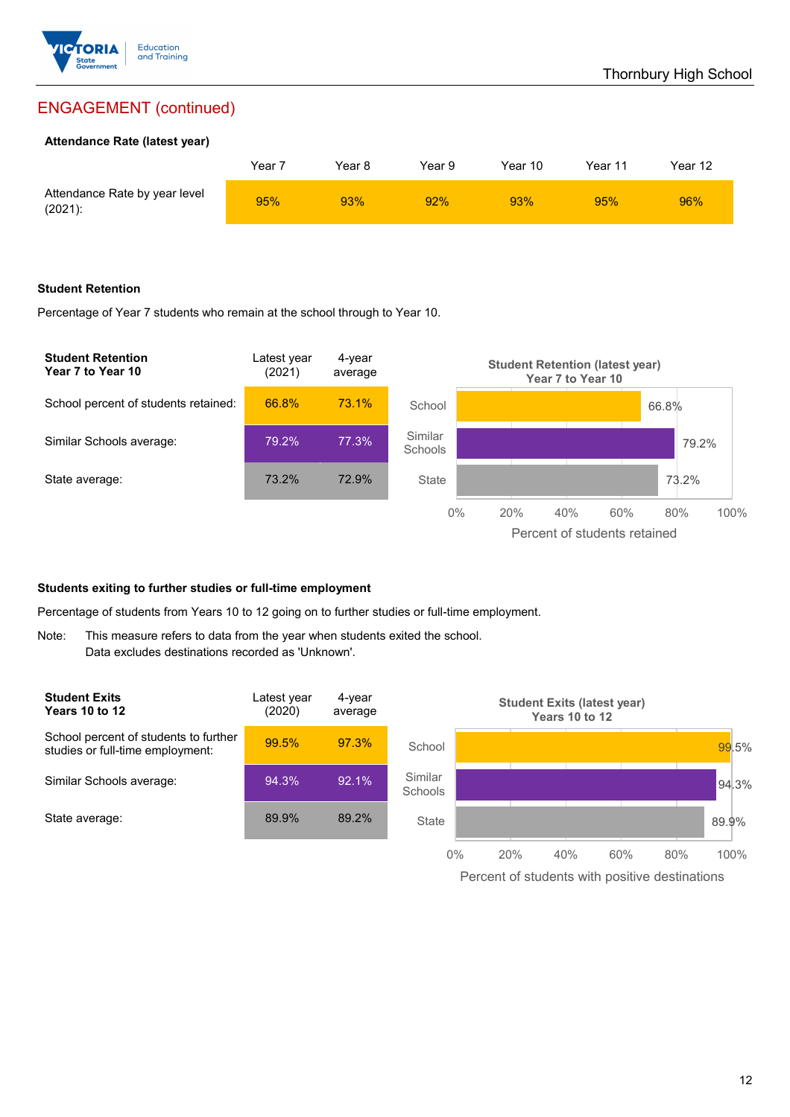

## ENGAGEMENT (continued)

#### **Attendance Rate (latest year)**

|                                             | Year i | Year 8 | Year 9 | Year 10 | Year 11 | Year 12 |
|---------------------------------------------|--------|--------|--------|---------|---------|---------|
| Attendance Rate by year level<br>$(2021)$ : | 95%    | 93%    | 92%    | 93%     | 95%     | 96%     |

#### **Student Retention**

Percentage of Year 7 students who remain at the school through to Year 10.



#### **Students exiting to further studies or full-time employment**

Percentage of students from Years 10 to 12 going on to further studies or full-time employment.

Note: This measure refers to data from the year when students exited the school. Data excludes destinations recorded as 'Unknown'.



Percent of students with positive destinations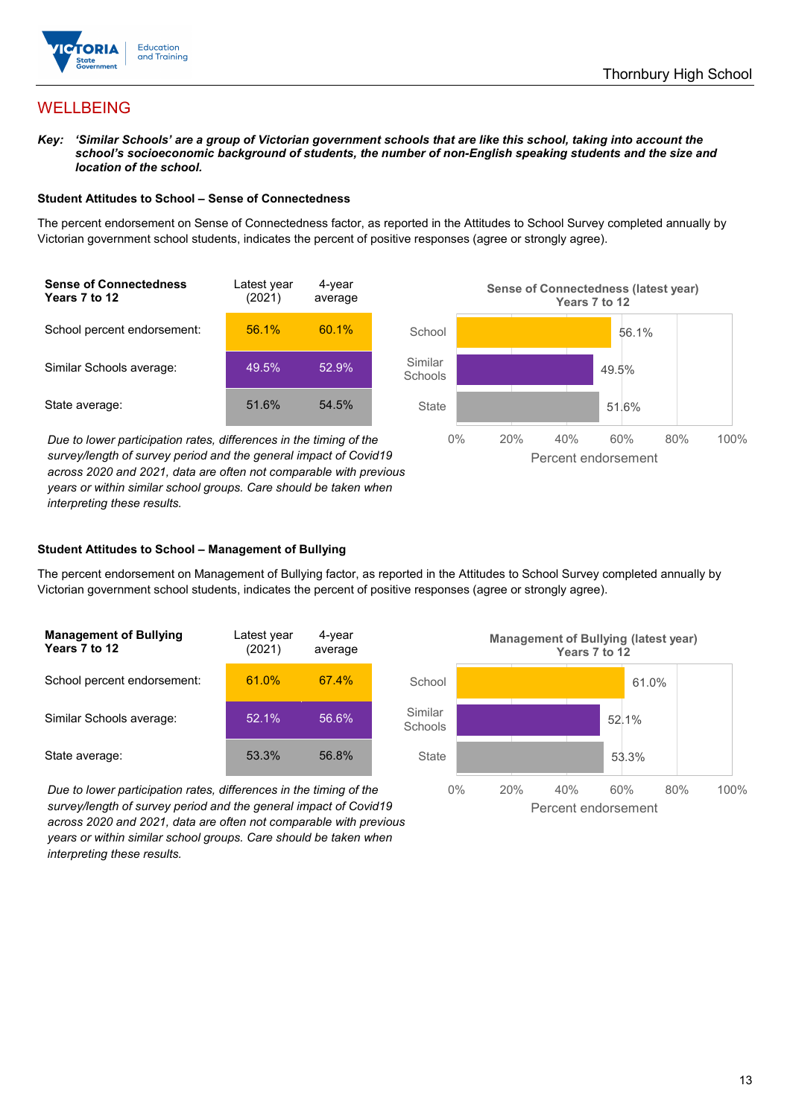

## WELLBEING

*Key: 'Similar Schools' are a group of Victorian government schools that are like this school, taking into account the school's socioeconomic background of students, the number of non-English speaking students and the size and location of the school.*

#### **Student Attitudes to School – Sense of Connectedness**

The percent endorsement on Sense of Connectedness factor, as reported in the Attitudes to School Survey completed annually by Victorian government school students, indicates the percent of positive responses (agree or strongly agree).



*Due to lower participation rates, differences in the timing of the survey/length of survey period and the general impact of Covid19 across 2020 and 2021, data are often not comparable with previous years or within similar school groups. Care should be taken when interpreting these results.*



#### **Student Attitudes to School – Management of Bullying**

The percent endorsement on Management of Bullying factor, as reported in the Attitudes to School Survey completed annually by Victorian government school students, indicates the percent of positive responses (agree or strongly agree).

| <b>Management of Bullying</b><br>Years 7 to 12 | Latest year<br>(2021) | 4-year<br>average |  |
|------------------------------------------------|-----------------------|-------------------|--|
| School percent endorsement:                    | 61.0%                 | 67.4%             |  |
| Similar Schools average:                       | 52.1%                 | 56.6%             |  |
| State average:                                 | 53.3%                 | 56.8%             |  |

*Due to lower participation rates, differences in the timing of the survey/length of survey period and the general impact of Covid19 across 2020 and 2021, data are often not comparable with previous years or within similar school groups. Care should be taken when interpreting these results.*

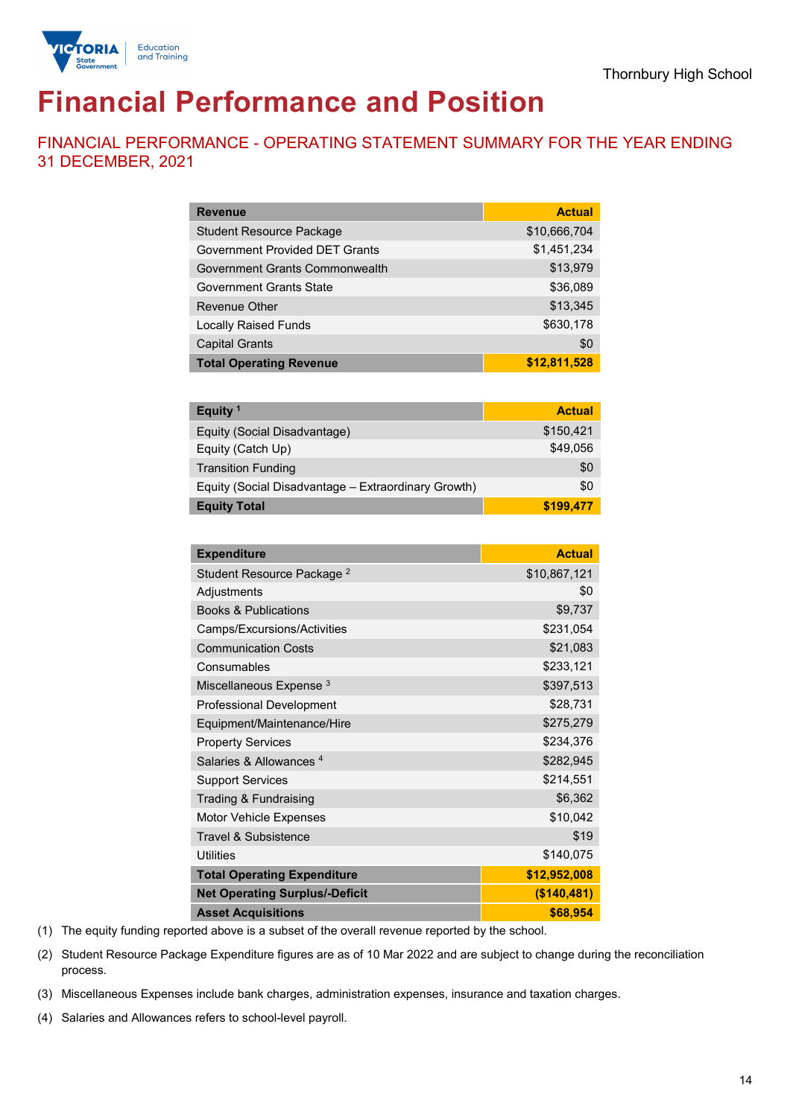

# **Financial Performance and Position**

FINANCIAL PERFORMANCE - OPERATING STATEMENT SUMMARY FOR THE YEAR ENDING 31 DECEMBER, 2021

| <b>Revenue</b>                        | <b>Actual</b> |
|---------------------------------------|---------------|
| <b>Student Resource Package</b>       | \$10,666,704  |
| <b>Government Provided DET Grants</b> | \$1,451,234   |
| Government Grants Commonwealth        | \$13,979      |
| <b>Government Grants State</b>        | \$36,089      |
| <b>Revenue Other</b>                  | \$13,345      |
| <b>Locally Raised Funds</b>           | \$630,178     |
| <b>Capital Grants</b>                 | \$0           |
| <b>Total Operating Revenue</b>        | \$12,811,528  |

| Equity <sup>1</sup>                                 | <b>Actual</b> |
|-----------------------------------------------------|---------------|
| Equity (Social Disadvantage)                        | \$150,421     |
| Equity (Catch Up)                                   | \$49.056      |
| <b>Transition Funding</b>                           | \$0           |
| Equity (Social Disadvantage - Extraordinary Growth) | \$0           |
| <b>Equity Total</b>                                 | \$199,477     |

| <b>Expenditure</b>                    | <b>Actual</b> |
|---------------------------------------|---------------|
| Student Resource Package <sup>2</sup> | \$10,867,121  |
| Adjustments                           | \$0           |
| <b>Books &amp; Publications</b>       | \$9,737       |
| Camps/Excursions/Activities           | \$231,054     |
| <b>Communication Costs</b>            | \$21,083      |
| Consumables                           | \$233,121     |
| Miscellaneous Expense <sup>3</sup>    | \$397,513     |
| <b>Professional Development</b>       | \$28,731      |
| Equipment/Maintenance/Hire            | \$275,279     |
| <b>Property Services</b>              | \$234,376     |
| Salaries & Allowances <sup>4</sup>    | \$282,945     |
| <b>Support Services</b>               | \$214,551     |
| Trading & Fundraising                 | \$6,362       |
| Motor Vehicle Expenses                | \$10,042      |
| Travel & Subsistence                  | \$19          |
| <b>Utilities</b>                      | \$140,075     |
| <b>Total Operating Expenditure</b>    | \$12,952,008  |
| <b>Net Operating Surplus/-Deficit</b> | (\$140,481)   |
| <b>Asset Acquisitions</b>             | \$68,954      |

(1) The equity funding reported above is a subset of the overall revenue reported by the school.

(2) Student Resource Package Expenditure figures are as of 10 Mar 2022 and are subject to change during the reconciliation process.

(3) Miscellaneous Expenses include bank charges, administration expenses, insurance and taxation charges.

(4) Salaries and Allowances refers to school-level payroll.